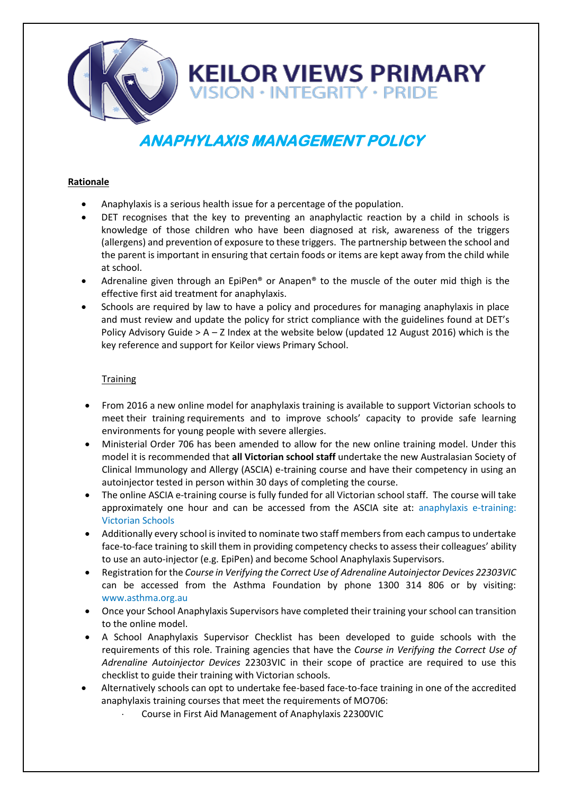

# **ANAPHYLAXIS MANAGEMENT POLICY**

# **Rationale**

- Anaphylaxis is a serious health issue for a percentage of the population.
- DET recognises that the key to preventing an anaphylactic reaction by a child in schools is knowledge of those children who have been diagnosed at risk, awareness of the triggers (allergens) and prevention of exposure to these triggers. The partnership between the school and the parent is important in ensuring that certain foods or items are kept away from the child while at school.
- Adrenaline given through an EpiPen® or Anapen® to the muscle of the outer mid thigh is the effective first aid treatment for anaphylaxis.
- Schools are required by law to have a policy and procedures for managing anaphylaxis in place and must review and update the policy for strict compliance with the guidelines found at DET's Policy Advisory Guide  $> A - Z$  Index at the website below (updated 12 August 2016) which is the key reference and support for Keilor views Primary School.

# **Training**

- From 2016 a new online model for anaphylaxis training is available to support Victorian schools to meet their training requirements and to improve schools' capacity to provide safe learning environments for young people with severe allergies.
- Ministerial Order 706 has been amended to allow for the new online training model. Under this model it is recommended that **all Victorian school staff** undertake the new Australasian Society of Clinical Immunology and Allergy (ASCIA) e-training course and have their competency in using an autoinjector tested in person within 30 days of completing the course.
- The online ASCIA e-training course is fully funded for all Victorian school staff. The course will take approximately one hour and can be accessed from the ASCIA site at: [anaphylaxis e-training:](https://etrainingvic.allergy.org.au/)  [Victorian Schools](https://etrainingvic.allergy.org.au/)
- Additionally every school is invited to nominate two staff members from each campus to undertake face-to-face training to skill them in providing competency checks to assess their colleagues' ability to use an auto-injector (e.g. EpiPen) and become School Anaphylaxis Supervisors.
- Registration for the *Course in Verifying the Correct Use of Adrenaline Autoinjector Devices 22303VIC*  can be accessed from the Asthma Foundation by phone 1300 314 806 or by visiting: [www.asthma.org.au](http://www.asthma.org.au/)
- Once your School Anaphylaxis Supervisors have completed their training your school can transition to the online model.
- A School Anaphylaxis Supervisor Checklist has been developed to guide schools with the requirements of this role. Training agencies that have the *Course in Verifying the Correct Use of Adrenaline Autoinjector Devices* 22303VIC in their scope of practice are required to use this checklist to guide their training with Victorian schools.
- Alternatively schools can opt to undertake fee-based face-to-face training in one of the accredited anaphylaxis training courses that meet the requirements of MO706:
	- Course in First Aid Management of Anaphylaxis 22300VIC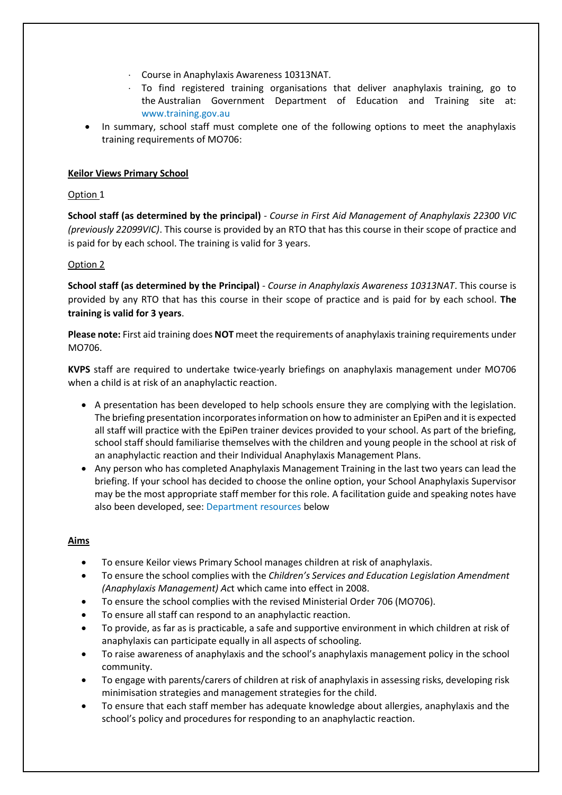- Course in Anaphylaxis Awareness 10313NAT.
- $\cdot$  To find registered training organisations that deliver anaphylaxis training, go to the Australian Government Department of Education and Training site at: [www.training.gov.au](http://www.training.gov.au/)
- In summary, school staff must complete one of the following options to meet the anaphylaxis training requirements of MO706:

# **Keilor Views Primary School**

# Option 1

**School staff (as determined by the principal)** - *Course in First Aid Management of Anaphylaxis 22300 VIC (previously 22099VIC)*. This course is provided by an RTO that has this course in their scope of practice and is paid for by each school. The training is valid for 3 years.

## Option 2

**School staff (as determined by the Principal)** - *Course in Anaphylaxis Awareness 10313NAT*. This course is provided by any RTO that has this course in their scope of practice and is paid for by each school. **The training is valid for 3 years**.

**Please note:** First aid training does **NOT** meet the requirements of anaphylaxis training requirements under MO706.

**KVPS** staff are required to undertake twice-yearly briefings on anaphylaxis management under MO706 when a child is at risk of an anaphylactic reaction.

- A presentation has been developed to help schools ensure they are complying with the legislation. The briefing presentation incorporates information on how to administer an EpiPen and it is expected all staff will practice with the EpiPen trainer devices provided to your school. As part of the briefing, school staff should familiarise themselves with the children and young people in the school at risk of an anaphylactic reaction and their Individual Anaphylaxis Management Plans.
- Any person who has completed Anaphylaxis Management Training in the last two years can lead the briefing. If your school has decided to choose the online option, your School Anaphylaxis Supervisor may be the most appropriate staff member for this role. A facilitation guide and speaking notes have also been developed, see[: Department resources b](http://www.education.vic.gov.au/school/principals/spag/health/pages/anaphylaxis.aspx#link6)elow

## **Aims**

- To ensure Keilor views Primary School manages children at risk of anaphylaxis.
- To ensure the school complies with the *Children's Services and Education Legislation Amendment (Anaphylaxis Management) Ac*t which came into effect in 2008.
- To ensure the school complies with the revised Ministerial Order 706 (MO706).
- To ensure all staff can respond to an anaphylactic reaction.
- To provide, as far as is practicable, a safe and supportive environment in which children at risk of anaphylaxis can participate equally in all aspects of schooling.
- To raise awareness of anaphylaxis and the school's anaphylaxis management policy in the school community.
- To engage with parents/carers of children at risk of anaphylaxis in assessing risks, developing risk minimisation strategies and management strategies for the child.
- To ensure that each staff member has adequate knowledge about allergies, anaphylaxis and the school's policy and procedures for responding to an anaphylactic reaction.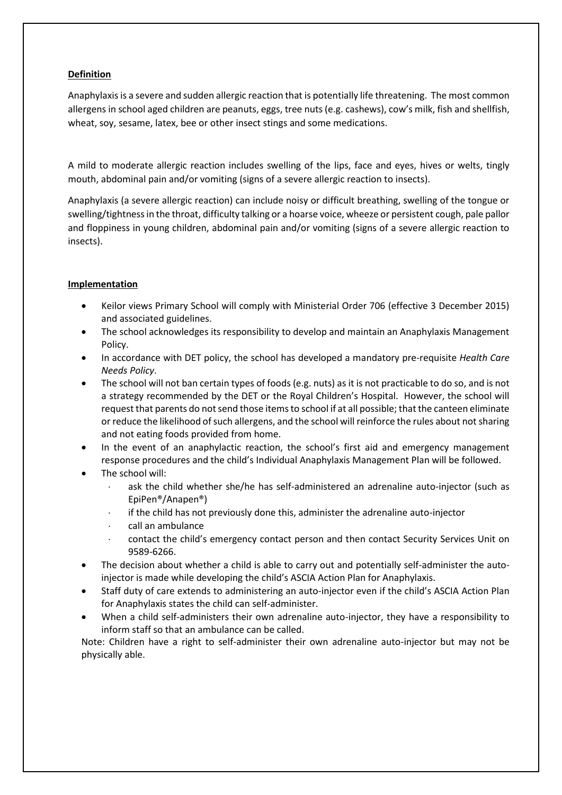# **Definition**

Anaphylaxis is a severe and sudden allergic reaction that is potentially life threatening. The most common allergens in school aged children are peanuts, eggs, tree nuts (e.g. cashews), cow's milk, fish and shellfish, wheat, soy, sesame, latex, bee or other insect stings and some medications.

A mild to moderate allergic reaction includes swelling of the lips, face and eyes, hives or welts, tingly mouth, abdominal pain and/or vomiting (signs of a severe allergic reaction to insects).

Anaphylaxis (a severe allergic reaction) can include noisy or difficult breathing, swelling of the tongue or swelling/tightness in the throat, difficulty talking or a hoarse voice, wheeze or persistent cough, pale pallor and floppiness in young children, abdominal pain and/or vomiting (signs of a severe allergic reaction to insects).

# **Implementation**

- Keilor views Primary School will comply with Ministerial Order 706 (effective 3 December 2015) and associated guidelines.
- The school acknowledges its responsibility to develop and maintain an Anaphylaxis Management Policy.
- In accordance with DET policy, the school has developed a mandatory pre-requisite *Health Care Needs Policy*.
- The school will not ban certain types of foods (e.g. nuts) as it is not practicable to do so, and is not a strategy recommended by the DET or the Royal Children's Hospital. However, the school will request that parents do not send those items to school if at all possible; that the canteen eliminate or reduce the likelihood of such allergens, and the school will reinforce the rules about not sharing and not eating foods provided from home.
- In the event of an anaphylactic reaction, the school's first aid and emergency management response procedures and the child's Individual Anaphylaxis Management Plan will be followed.
- The school will:
	- ask the child whether she/he has self-administered an adrenaline auto-injector (such as EpiPen®/Anapen®)
	- if the child has not previously done this, administer the adrenaline auto-injector
	- call an ambulance
	- contact the child's emergency contact person and then contact Security Services Unit on 9589-6266.
- The decision about whether a child is able to carry out and potentially self-administer the autoinjector is made while developing the child's ASCIA Action Plan for Anaphylaxis.
- Staff duty of care extends to administering an auto-injector even if the child's ASCIA Action Plan for Anaphylaxis states the child can self-administer.
- When a child self-administers their own adrenaline auto-injector, they have a responsibility to inform staff so that an ambulance can be called.

Note: Children have a right to self-administer their own adrenaline auto-injector but may not be physically able.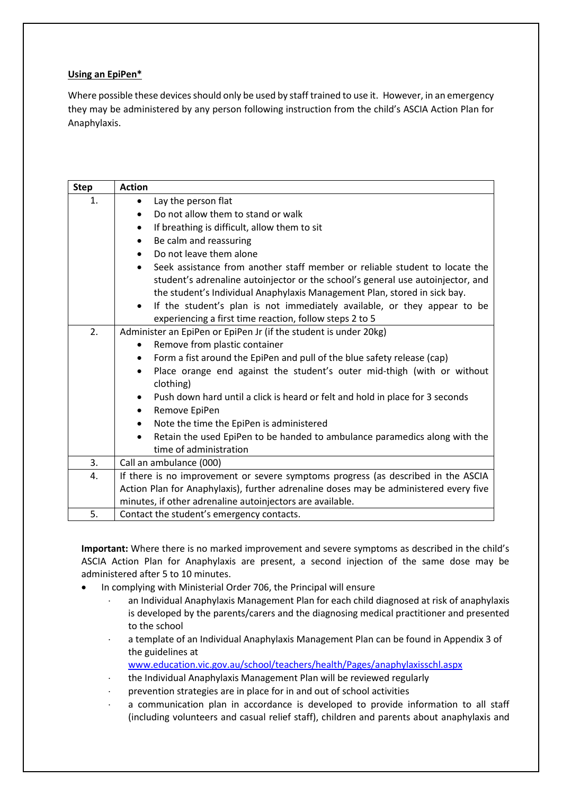# **Using an EpiPen\***

Where possible these devices should only be used by staff trained to use it. However, in an emergency they may be administered by any person following instruction from the child's ASCIA Action Plan for Anaphylaxis.

| <b>Step</b> | <b>Action</b>                                                                              |
|-------------|--------------------------------------------------------------------------------------------|
| 1.          | Lay the person flat<br>$\bullet$                                                           |
|             | Do not allow them to stand or walk<br>$\bullet$                                            |
|             | If breathing is difficult, allow them to sit<br>$\bullet$                                  |
|             | Be calm and reassuring<br>$\bullet$                                                        |
|             | Do not leave them alone                                                                    |
|             | Seek assistance from another staff member or reliable student to locate the<br>$\bullet$   |
|             | student's adrenaline autoinjector or the school's general use autoinjector, and            |
|             | the student's Individual Anaphylaxis Management Plan, stored in sick bay.                  |
|             | If the student's plan is not immediately available, or they appear to be<br>$\bullet$      |
|             | experiencing a first time reaction, follow steps 2 to 5                                    |
| 2.          | Administer an EpiPen or EpiPen Jr (if the student is under 20kg)                           |
|             | Remove from plastic container                                                              |
|             | Form a fist around the EpiPen and pull of the blue safety release (cap)                    |
|             | Place orange end against the student's outer mid-thigh (with or without<br>$\bullet$       |
|             | clothing)                                                                                  |
|             | Push down hard until a click is heard or felt and hold in place for 3 seconds<br>$\bullet$ |
|             | Remove EpiPen<br>٠                                                                         |
|             | Note the time the EpiPen is administered<br>$\bullet$                                      |
|             | Retain the used EpiPen to be handed to ambulance paramedics along with the<br>$\bullet$    |
|             | time of administration                                                                     |
| 3.          | Call an ambulance (000)                                                                    |
| 4.          | If there is no improvement or severe symptoms progress (as described in the ASCIA          |
|             | Action Plan for Anaphylaxis), further adrenaline doses may be administered every five      |
|             | minutes, if other adrenaline autoinjectors are available.                                  |
| 5.          | Contact the student's emergency contacts.                                                  |

**Important:** Where there is no marked improvement and severe symptoms as described in the child's ASCIA Action Plan for Anaphylaxis are present, a second injection of the same dose may be administered after 5 to 10 minutes.

- In complying with Ministerial Order 706, the Principal will ensure
	- an Individual Anaphylaxis Management Plan for each child diagnosed at risk of anaphylaxis is developed by the parents/carers and the diagnosing medical practitioner and presented to the school
	- a template of an Individual Anaphylaxis Management Plan can be found in Appendix 3 of the guidelines at
		- [www.education.vic.gov.au/school/teachers/health/Pages/anaphylaxisschl.aspx](http://www.education.vic.gov.au/school/teachers/health/Pages/anaphylaxisschl.aspx)
	- the Individual Anaphylaxis Management Plan will be reviewed regularly
	- prevention strategies are in place for in and out of school activities
	- a communication plan in accordance is developed to provide information to all staff (including volunteers and casual relief staff), children and parents about anaphylaxis and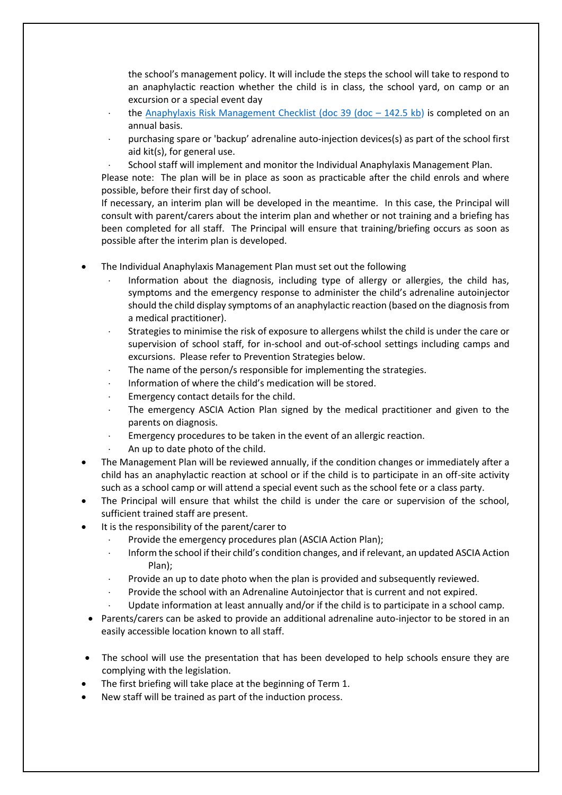the school's management policy. It will include the steps the school will take to respond to an anaphylactic reaction whether the child is in class, the school yard, on camp or an excursion or a special event day

- the Anaphylaxis Risk Management Checklist (doc 39 (doc  $-142.5$  kb) is completed on an annual basis.
- purchasing spare or 'backup' adrenaline auto-injection devices(s) as part of the school first aid kit(s), for general use.
- School staff will implement and monitor the Individual Anaphylaxis Management Plan.

Please note: The plan will be in place as soon as practicable after the child enrols and where possible, before their first day of school.

If necessary, an interim plan will be developed in the meantime. In this case, the Principal will consult with parent/carers about the interim plan and whether or not training and a briefing has been completed for all staff. The Principal will ensure that training/briefing occurs as soon as possible after the interim plan is developed.

- The Individual Anaphylaxis Management Plan must set out the following
	- Information about the diagnosis, including type of allergy or allergies, the child has, symptoms and the emergency response to administer the child's adrenaline autoinjector should the child display symptoms of an anaphylactic reaction (based on the diagnosis from a medical practitioner).
	- Strategies to minimise the risk of exposure to allergens whilst the child is under the care or supervision of school staff, for in-school and out-of-school settings including camps and excursions. Please refer to Prevention Strategies below.
	- The name of the person/s responsible for implementing the strategies.
	- Information of where the child's medication will be stored.
	- Emergency contact details for the child.
	- The emergency ASCIA Action Plan signed by the medical practitioner and given to the parents on diagnosis.
	- Emergency procedures to be taken in the event of an allergic reaction.
	- An up to date photo of the child.
- The Management Plan will be reviewed annually, if the condition changes or immediately after a child has an anaphylactic reaction at school or if the child is to participate in an off-site activity such as a school camp or will attend a special event such as the school fete or a class party.
- The Principal will ensure that whilst the child is under the care or supervision of the school, sufficient trained staff are present.
- It is the responsibility of the parent/carer to
	- Provide the emergency procedures plan (ASCIA Action Plan);
	- Inform the school if their child's condition changes, and if relevant, an updated ASCIA Action Plan);
	- $\cdot$  Provide an up to date photo when the plan is provided and subsequently reviewed.
	- Provide the school with an Adrenaline Autoinjector that is current and not expired.
	- Update information at least annually and/or if the child is to participate in a school camp.
- Parents/carers can be asked to provide an additional adrenaline auto-injector to be stored in an easily accessible location known to all staff.
- The school will use the presentation that has been developed to help schools ensure they are complying with the legislation.
- The first briefing will take place at the beginning of Term 1.
- New staff will be trained as part of the induction process.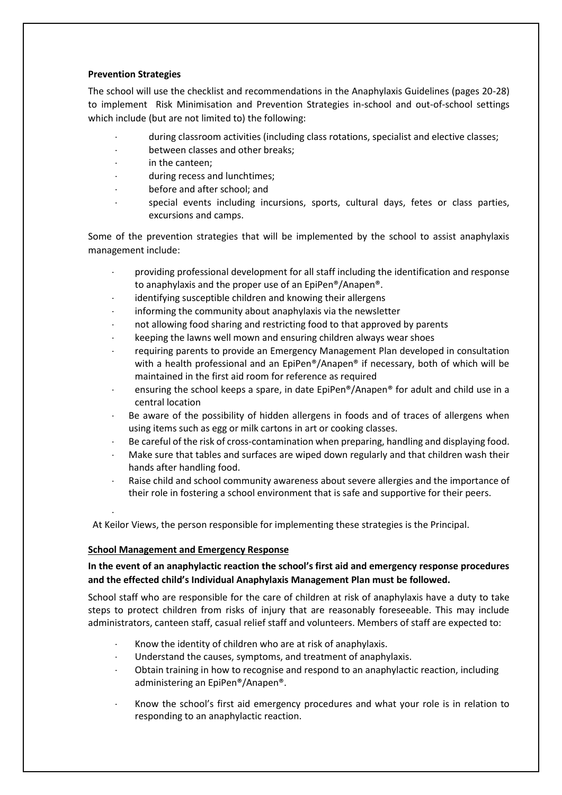## **Prevention Strategies**

The school will use the checklist and recommendations in the Anaphylaxis Guidelines (pages 20-28) to implement Risk Minimisation and Prevention Strategies in-school and out-of-school settings which include (but are not limited to) the following:

- during classroom activities (including class rotations, specialist and elective classes;
- between classes and other breaks;
- in the canteen;
- during recess and lunchtimes;
- before and after school; and
- special events including incursions, sports, cultural days, fetes or class parties, excursions and camps.

Some of the prevention strategies that will be implemented by the school to assist anaphylaxis management include:

- providing professional development for all staff including the identification and response to anaphylaxis and the proper use of an EpiPen®/Anapen®.
- identifying susceptible children and knowing their allergens
- informing the community about anaphylaxis via the newsletter
- not allowing food sharing and restricting food to that approved by parents
- keeping the lawns well mown and ensuring children always wear shoes
- requiring parents to provide an Emergency Management Plan developed in consultation with a health professional and an EpiPen®/Anapen® if necessary, both of which will be maintained in the first aid room for reference as required
- ensuring the school keeps a spare, in date EpiPen®/Anapen® for adult and child use in a central location
- Be aware of the possibility of hidden allergens in foods and of traces of allergens when using items such as egg or milk cartons in art or cooking classes.
- Be careful of the risk of cross-contamination when preparing, handling and displaying food.
- Make sure that tables and surfaces are wiped down regularly and that children wash their hands after handling food.
- Raise child and school community awareness about severe allergies and the importance of their role in fostering a school environment that is safe and supportive for their peers.

At Keilor Views, the person responsible for implementing these strategies is the Principal.

## **School Management and Emergency Response**

.

# **In the event of an anaphylactic reaction the school's first aid and emergency response procedures and the effected child's Individual Anaphylaxis Management Plan must be followed.**

School staff who are responsible for the care of children at risk of anaphylaxis have a duty to take steps to protect children from risks of injury that are reasonably foreseeable. This may include administrators, canteen staff, casual relief staff and volunteers. Members of staff are expected to:

- Know the identity of children who are at risk of anaphylaxis.
- Understand the causes, symptoms, and treatment of anaphylaxis.
- Obtain training in how to recognise and respond to an anaphylactic reaction, including administering an EpiPen®/Anapen®.
- Know the school's first aid emergency procedures and what your role is in relation to responding to an anaphylactic reaction.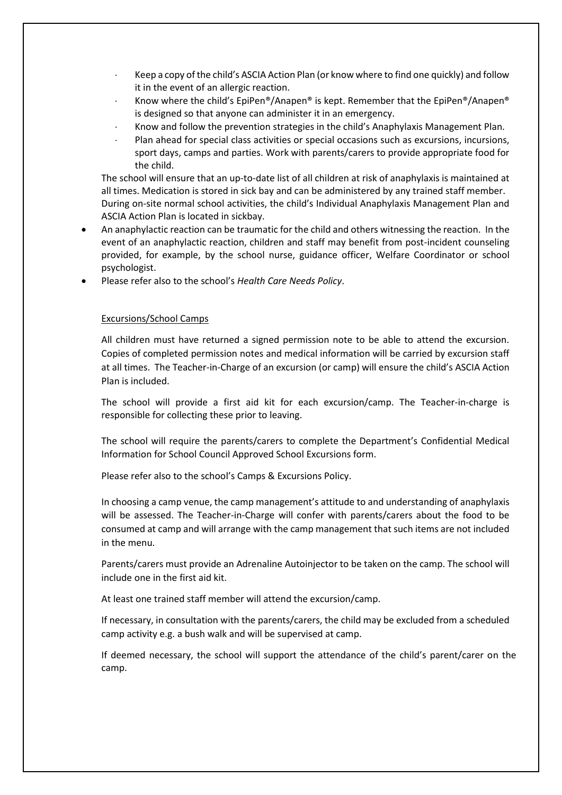- Keep a copy of the child's ASCIA Action Plan (or know where to find one quickly) and follow it in the event of an allergic reaction.
- Know where the child's EpiPen®/Anapen® is kept. Remember that the EpiPen®/Anapen® is designed so that anyone can administer it in an emergency.
- Know and follow the prevention strategies in the child's Anaphylaxis Management Plan.
- Plan ahead for special class activities or special occasions such as excursions, incursions, sport days, camps and parties. Work with parents/carers to provide appropriate food for the child.

The school will ensure that an up-to-date list of all children at risk of anaphylaxis is maintained at all times. Medication is stored in sick bay and can be administered by any trained staff member. During on-site normal school activities, the child's Individual Anaphylaxis Management Plan and ASCIA Action Plan is located in sickbay.

- An anaphylactic reaction can be traumatic for the child and others witnessing the reaction. In the event of an anaphylactic reaction, children and staff may benefit from post-incident counseling provided, for example, by the school nurse, guidance officer, Welfare Coordinator or school psychologist.
- Please refer also to the school's *Health Care Needs Policy*.

#### Excursions/School Camps

All children must have returned a signed permission note to be able to attend the excursion. Copies of completed permission notes and medical information will be carried by excursion staff at all times. The Teacher-in-Charge of an excursion (or camp) will ensure the child's ASCIA Action Plan is included.

The school will provide a first aid kit for each excursion/camp. The Teacher-in-charge is responsible for collecting these prior to leaving.

The school will require the parents/carers to complete the Department's Confidential Medical Information for School Council Approved School Excursions form.

Please refer also to the school's Camps & Excursions Policy.

In choosing a camp venue, the camp management's attitude to and understanding of anaphylaxis will be assessed. The Teacher-in-Charge will confer with parents/carers about the food to be consumed at camp and will arrange with the camp management that such items are not included in the menu.

Parents/carers must provide an Adrenaline Autoinjector to be taken on the camp. The school will include one in the first aid kit.

At least one trained staff member will attend the excursion/camp.

If necessary, in consultation with the parents/carers, the child may be excluded from a scheduled camp activity e.g. a bush walk and will be supervised at camp.

If deemed necessary, the school will support the attendance of the child's parent/carer on the camp.